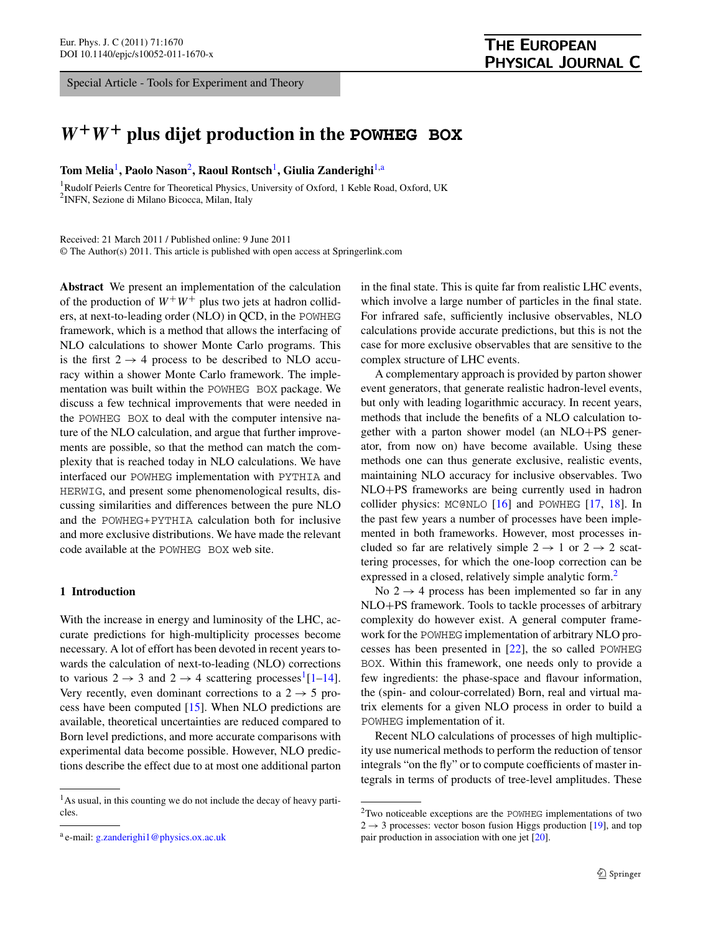<span id="page-0-1"></span><span id="page-0-0"></span>Special Article - Tools for Experiment and Theory

# $W^+W^+$  plus dijet production in the **POWHEG** BOX

**Tom Melia**[1](#page-0-0)**, Paolo Nason**[2](#page-0-1)**, Raoul Rontsch**[1](#page-0-0)**, Giulia Zanderighi**[1,](#page-0-0)[a](#page-0-2)

<sup>1</sup>Rudolf Peierls Centre for Theoretical Physics, University of Oxford, 1 Keble Road, Oxford, UK <sup>2</sup> INFN, Sezione di Milano Bicocca, Milan, Italy

Received: 21 March 2011 / Published online: 9 June 2011 © The Author(s) 2011. This article is published with open access at Springerlink.com

**Abstract** We present an implementation of the calculation of the production of  $W^+W^+$  plus two jets at hadron colliders, at next-to-leading order (NLO) in QCD, in the POWHEG framework, which is a method that allows the interfacing of NLO calculations to shower Monte Carlo programs. This is the first  $2 \rightarrow 4$  process to be described to NLO accuracy within a shower Monte Carlo framework. The implementation was built within the POWHEG BOX package. We discuss a few technical improvements that were needed in the POWHEG BOX to deal with the computer intensive nature of the NLO calculation, and argue that further improvements are possible, so that the method can match the complexity that is reached today in NLO calculations. We have interfaced our POWHEG implementation with PYTHIA and HERWIG, and present some phenomenological results, discussing similarities and differences between the pure NLO and the POWHEG+PYTHIA calculation both for inclusive and more exclusive distributions. We have made the relevant code available at the POWHEG BOX web site.

# **1 Introduction**

<span id="page-0-3"></span>With the increase in energy and luminosity of the LHC, accurate predictions for high-multiplicity processes become necessary. A lot of effort has been devoted in recent years towards the calculation of next-to-leading (NLO) corrections to various  $2 \rightarrow 3$  and  $2 \rightarrow 4$  scattering processes<sup>[1](#page-0-3)</sup>[\[1](#page-8-0)[–14](#page-9-0)]. Very recently, even dominant corrections to a  $2 \rightarrow 5$  process have been computed [[15\]](#page-9-1). When NLO predictions are available, theoretical uncertainties are reduced compared to Born level predictions, and more accurate comparisons with experimental data become possible. However, NLO predictions describe the effect due to at most one additional parton in the final state. This is quite far from realistic LHC events, which involve a large number of particles in the final state. For infrared safe, sufficiently inclusive observables, NLO calculations provide accurate predictions, but this is not the case for more exclusive observables that are sensitive to the complex structure of LHC events.

A complementary approach is provided by parton shower event generators, that generate realistic hadron-level events, but only with leading logarithmic accuracy. In recent years, methods that include the benefits of a NLO calculation together with a parton shower model (an NLO+PS generator, from now on) have become available. Using these methods one can thus generate exclusive, realistic events, maintaining NLO accuracy for inclusive observables. Two NLO+PS frameworks are being currently used in hadron collider physics: MC@NLO [\[16](#page-9-2)] and POWHEG [\[17](#page-9-3), [18\]](#page-9-4). In the past few years a number of processes have been implemented in both frameworks. However, most processes included so far are relatively simple  $2 \rightarrow 1$  or  $2 \rightarrow 2$  scattering processes, for which the one-loop correction can be expressed in a closed, relatively simple analytic form.<sup>[2](#page-0-4)</sup>

No  $2 \rightarrow 4$  process has been implemented so far in any NLO+PS framework. Tools to tackle processes of arbitrary complexity do however exist. A general computer framework for the POWHEG implementation of arbitrary NLO processes has been presented in [[22\]](#page-9-5), the so called POWHEG BOX. Within this framework, one needs only to provide a few ingredients: the phase-space and flavour information, the (spin- and colour-correlated) Born, real and virtual matrix elements for a given NLO process in order to build a POWHEG implementation of it.

<span id="page-0-4"></span>Recent NLO calculations of processes of high multiplicity use numerical methods to perform the reduction of tensor integrals "on the fly" or to compute coefficients of master integrals in terms of products of tree-level amplitudes. These

<span id="page-0-2"></span><sup>&</sup>lt;sup>1</sup>As usual, in this counting we do not include the decay of heavy particles.

<sup>a</sup> e-mail: [g.zanderighi1@physics.ox.ac.uk](mailto:g.zanderighi1@physics.ox.ac.uk)

<sup>2</sup>Two noticeable exceptions are the POWHEG implementations of two  $2 \rightarrow 3$  processes: vector boson fusion Higgs production [\[19\]](#page-9-6), and top pair production in association with one jet [\[20\]](#page-9-7).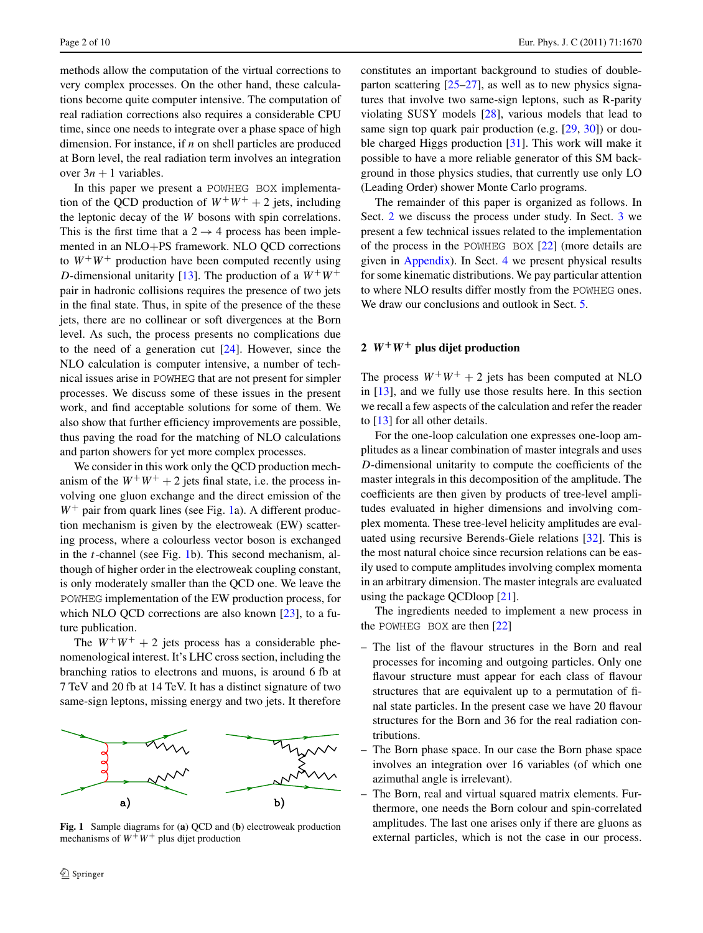methods allow the computation of the virtual corrections to very complex processes. On the other hand, these calculations become quite computer intensive. The computation of real radiation corrections also requires a considerable CPU time, since one needs to integrate over a phase space of high dimension. For instance, if *n* on shell particles are produced at Born level, the real radiation term involves an integration over  $3n + 1$  variables.

In this paper we present a POWHEG BOX implementation of the QCD production of  $W^+W^+ + 2$  jets, including the leptonic decay of the *W* bosons with spin correlations. This is the first time that a  $2 \rightarrow 4$  process has been implemented in an NLO+PS framework. NLO QCD corrections to  $W^+W^+$  production have been computed recently using *D*-dimensional unitarity [\[13](#page-9-8)]. The production of a  $W^+W^+$ pair in hadronic collisions requires the presence of two jets in the final state. Thus, in spite of the presence of the these jets, there are no collinear or soft divergences at the Born level. As such, the process presents no complications due to the need of a generation cut [[24\]](#page-9-9). However, since the NLO calculation is computer intensive, a number of technical issues arise in POWHEG that are not present for simpler processes. We discuss some of these issues in the present work, and find acceptable solutions for some of them. We also show that further efficiency improvements are possible, thus paving the road for the matching of NLO calculations and parton showers for yet more complex processes.

We consider in this work only the QCD production mechanism of the  $W^+W^+ + 2$  jets final state, i.e. the process involving one gluon exchange and the direct emission of the  $W^+$  pair from quark lines (see Fig. [1a](#page-1-0)). A different production mechanism is given by the electroweak (EW) scattering process, where a colourless vector boson is exchanged in the *t*-channel (see Fig. [1b](#page-1-0)). This second mechanism, although of higher order in the electroweak coupling constant, is only moderately smaller than the QCD one. We leave the POWHEG implementation of the EW production process, for which NLO QCD corrections are also known [\[23](#page-9-10)], to a future publication.

The  $W^+W^+ + 2$  jets process has a considerable phenomenological interest. It's LHC cross section, including the branching ratios to electrons and muons, is around 6 fb at 7 TeV and 20 fb at 14 TeV. It has a distinct signature of two same-sign leptons, missing energy and two jets. It therefore

<span id="page-1-0"></span>

**Fig. 1** Sample diagrams for (**a**) QCD and (**b**) electroweak production mechanisms of  $W^+W^+$  plus dijet production

constitutes an important background to studies of doubleparton scattering  $[25-27]$  $[25-27]$  $[25-27]$ , as well as to new physics signatures that involve two same-sign leptons, such as R-parity violating SUSY models [[28\]](#page-9-13), various models that lead to same sign top quark pair production (e.g. [\[29](#page-9-14), [30\]](#page-9-15)) or double charged Higgs production [\[31](#page-9-16)]. This work will make it possible to have a more reliable generator of this SM background in those physics studies, that currently use only LO (Leading Order) shower Monte Carlo programs.

<span id="page-1-1"></span>The remainder of this paper is organized as follows. In Sect. [2](#page-1-1) we discuss the process under study. In Sect. [3](#page-2-0) we present a few technical issues related to the implementation of the process in the POWHEG BOX [[22\]](#page-9-5) (more details are given in [Appendix\)](#page-8-1). In Sect. [4](#page-4-0) we present physical results for some kinematic distributions. We pay particular attention to where NLO results differ mostly from the POWHEG ones. We draw our conclusions and outlook in Sect. [5](#page-7-0).

## 2  $W^+W^+$  plus dijet production

The process  $W^+W^+ + 2$  jets has been computed at NLO in [\[13](#page-9-8)], and we fully use those results here. In this section we recall a few aspects of the calculation and refer the reader to [\[13](#page-9-8)] for all other details.

For the one-loop calculation one expresses one-loop amplitudes as a linear combination of master integrals and uses *D*-dimensional unitarity to compute the coefficients of the master integrals in this decomposition of the amplitude. The coefficients are then given by products of tree-level amplitudes evaluated in higher dimensions and involving complex momenta. These tree-level helicity amplitudes are evaluated using recursive Berends-Giele relations [\[32](#page-9-17)]. This is the most natural choice since recursion relations can be easily used to compute amplitudes involving complex momenta in an arbitrary dimension. The master integrals are evaluated using the package QCDloop [\[21](#page-9-18)].

The ingredients needed to implement a new process in the POWHEG BOX are then [\[22](#page-9-5)]

- The list of the flavour structures in the Born and real processes for incoming and outgoing particles. Only one flavour structure must appear for each class of flavour structures that are equivalent up to a permutation of final state particles. In the present case we have 20 flavour structures for the Born and 36 for the real radiation contributions.
- The Born phase space. In our case the Born phase space involves an integration over 16 variables (of which one azimuthal angle is irrelevant).
- The Born, real and virtual squared matrix elements. Furthermore, one needs the Born colour and spin-correlated amplitudes. The last one arises only if there are gluons as external particles, which is not the case in our process.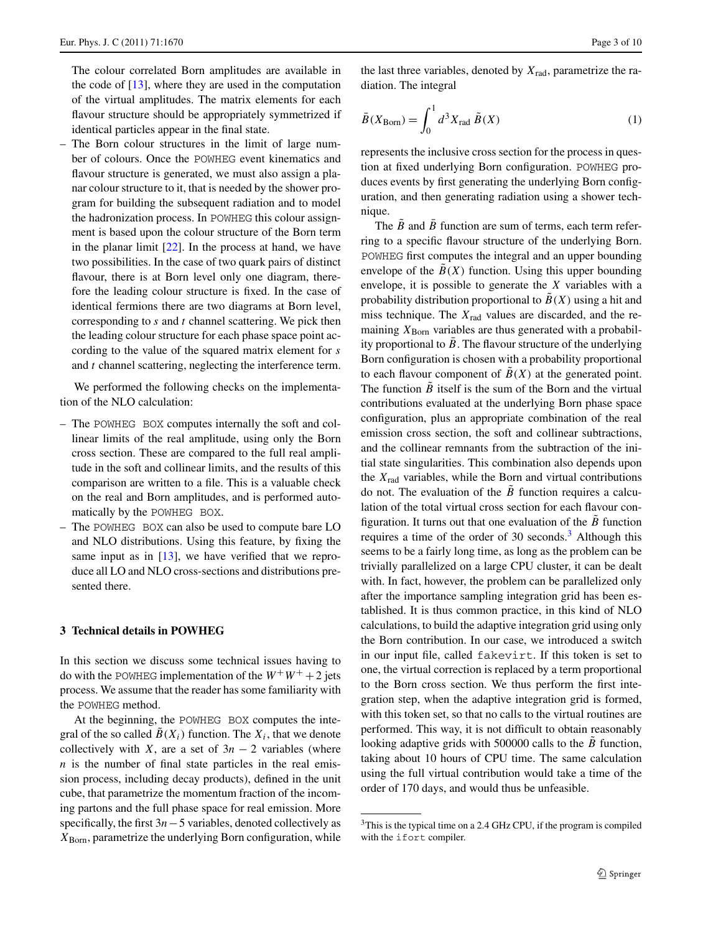The colour correlated Born amplitudes are available in the code of  $[13]$  $[13]$ , where they are used in the computation of the virtual amplitudes. The matrix elements for each flavour structure should be appropriately symmetrized if identical particles appear in the final state.

– The Born colour structures in the limit of large number of colours. Once the POWHEG event kinematics and flavour structure is generated, we must also assign a planar colour structure to it, that is needed by the shower program for building the subsequent radiation and to model the hadronization process. In POWHEG this colour assignment is based upon the colour structure of the Born term in the planar limit  $[22]$  $[22]$ . In the process at hand, we have two possibilities. In the case of two quark pairs of distinct flavour, there is at Born level only one diagram, therefore the leading colour structure is fixed. In the case of identical fermions there are two diagrams at Born level, corresponding to *s* and *t* channel scattering. We pick then the leading colour structure for each phase space point according to the value of the squared matrix element for *s* and *t* channel scattering, neglecting the interference term.

We performed the following checks on the implementation of the NLO calculation:

- The POWHEG BOX computes internally the soft and collinear limits of the real amplitude, using only the Born cross section. These are compared to the full real amplitude in the soft and collinear limits, and the results of this comparison are written to a file. This is a valuable check on the real and Born amplitudes, and is performed automatically by the POWHEG BOX.
- <span id="page-2-0"></span>– The POWHEG BOX can also be used to compute bare LO and NLO distributions. Using this feature, by fixing the same input as in  $[13]$  $[13]$ , we have verified that we reproduce all LO and NLO cross-sections and distributions presented there.

## **3 Technical details in POWHEG**

In this section we discuss some technical issues having to do with the POWHEG implementation of the  $W^+W^+ + 2$  jets process. We assume that the reader has some familiarity with the POWHEG method.

At the beginning, the POWHEG BOX computes the integral of the so called  $B(X_i)$  function. The  $X_i$ , that we denote collectively with *X*, are a set of  $3n - 2$  variables (where *n* is the number of final state particles in the real emission process, including decay products), defined in the unit cube, that parametrize the momentum fraction of the incoming partons and the full phase space for real emission. More specifically, the first 3*n*−5 variables, denoted collectively as  $X_{\text{Born}}$ , parametrize the underlying Born configuration, while the last three variables, denoted by *X*rad, parametrize the radiation. The integral

$$
\bar{B}(X_{\text{Born}}) = \int_0^1 d^3 X_{\text{rad}} \,\tilde{B}(X) \tag{1}
$$

represents the inclusive cross section for the process in question at fixed underlying Born configuration. POWHEG produces events by first generating the underlying Born configuration, and then generating radiation using a shower technique.

The  $\overline{B}$  and  $\overline{B}$  function are sum of terms, each term referring to a specific flavour structure of the underlying Born. POWHEG first computes the integral and an upper bounding envelope of the  $B(X)$  function. Using this upper bounding envelope, it is possible to generate the *X* variables with a probability distribution proportional to  $B(X)$  using a hit and miss technique. The *X*rad values are discarded, and the remaining  $X_{\text{Born}}$  variables are thus generated with a probability proportional to  $B$ . The flavour structure of the underlying Born configuration is chosen with a probability proportional to each flavour component of  $B(X)$  at the generated point. The function  $\tilde{B}$  itself is the sum of the Born and the virtual contributions evaluated at the underlying Born phase space configuration, plus an appropriate combination of the real emission cross section, the soft and collinear subtractions, and the collinear remnants from the subtraction of the initial state singularities. This combination also depends upon the  $X_{rad}$  variables, while the Born and virtual contributions do not. The evaluation of the  $\overline{B}$  function requires a calculation of the total virtual cross section for each flavour configuration. It turns out that one evaluation of the  $\tilde{B}$  function requires a time of the order of [3](#page-2-1)0 seconds. $3$  Although this seems to be a fairly long time, as long as the problem can be trivially parallelized on a large CPU cluster, it can be dealt with. In fact, however, the problem can be parallelized only after the importance sampling integration grid has been established. It is thus common practice, in this kind of NLO calculations, to build the adaptive integration grid using only the Born contribution. In our case, we introduced a switch in our input file, called fakevirt. If this token is set to one, the virtual correction is replaced by a term proportional to the Born cross section. We thus perform the first integration step, when the adaptive integration grid is formed, with this token set, so that no calls to the virtual routines are performed. This way, it is not difficult to obtain reasonably looking adaptive grids with 500000 calls to the *B* function, taking about 10 hours of CPU time. The same calculation using the full virtual contribution would take a time of the order of 170 days, and would thus be unfeasible.

<span id="page-2-1"></span><sup>3</sup>This is the typical time on a 2.4 GHz CPU, if the program is compiled with the ifort compiler.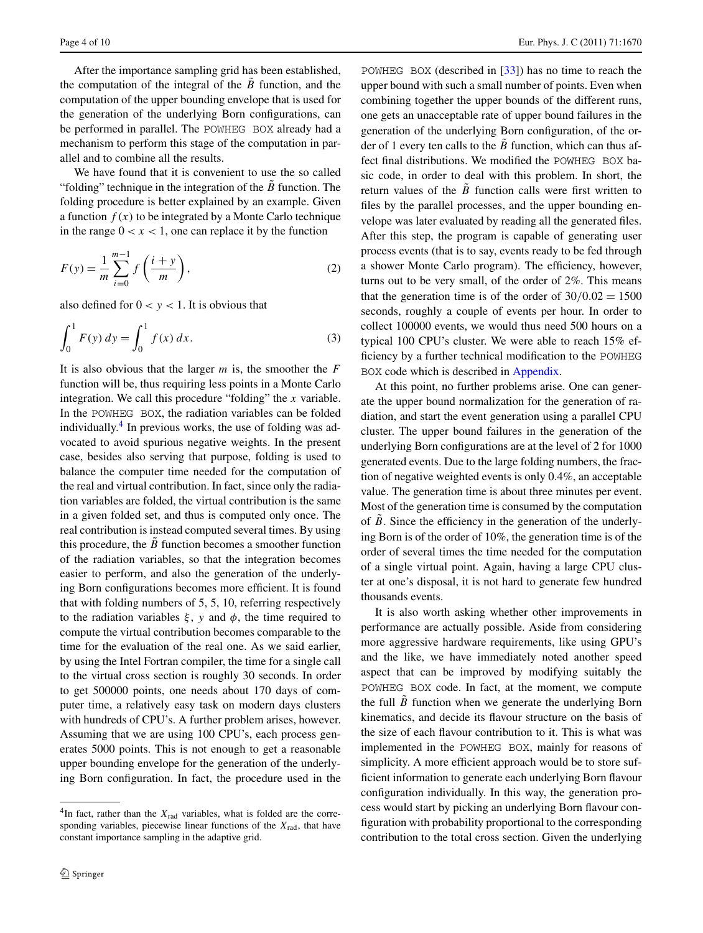After the importance sampling grid has been established, the computation of the integral of the  $\tilde{B}$  function, and the computation of the upper bounding envelope that is used for the generation of the underlying Born configurations, can be performed in parallel. The POWHEG BOX already had a mechanism to perform this stage of the computation in parallel and to combine all the results.

We have found that it is convenient to use the so called "folding" technique in the integration of the  $\ddot{B}$  function. The folding procedure is better explained by an example. Given a function  $f(x)$  to be integrated by a Monte Carlo technique in the range  $0 < x < 1$ , one can replace it by the function

$$
F(y) = \frac{1}{m} \sum_{i=0}^{m-1} f\left(\frac{i+y}{m}\right),
$$
 (2)

also defined for  $0 < y < 1$ . It is obvious that

$$
\int_0^1 F(y) \, dy = \int_0^1 f(x) \, dx. \tag{3}
$$

It is also obvious that the larger *m* is, the smoother the *F* function will be, thus requiring less points in a Monte Carlo integration. We call this procedure "folding" the *x* variable. In the POWHEG BOX, the radiation variables can be folded individually.<sup>[4](#page-3-0)</sup> In previous works, the use of folding was advocated to avoid spurious negative weights. In the present case, besides also serving that purpose, folding is used to balance the computer time needed for the computation of the real and virtual contribution. In fact, since only the radiation variables are folded, the virtual contribution is the same in a given folded set, and thus is computed only once. The real contribution is instead computed several times. By using this procedure, the  $B$  function becomes a smoother function of the radiation variables, so that the integration becomes easier to perform, and also the generation of the underlying Born configurations becomes more efficient. It is found that with folding numbers of 5, 5, 10, referring respectively to the radiation variables  $ξ$ , *y* and  $φ$ , the time required to compute the virtual contribution becomes comparable to the time for the evaluation of the real one. As we said earlier, by using the Intel Fortran compiler, the time for a single call to the virtual cross section is roughly 30 seconds. In order to get 500000 points, one needs about 170 days of computer time, a relatively easy task on modern days clusters with hundreds of CPU's. A further problem arises, however. Assuming that we are using 100 CPU's, each process generates 5000 points. This is not enough to get a reasonable upper bounding envelope for the generation of the underlying Born configuration. In fact, the procedure used in the

POWHEG BOX (described in [\[33](#page-9-19)]) has no time to reach the upper bound with such a small number of points. Even when combining together the upper bounds of the different runs, one gets an unacceptable rate of upper bound failures in the generation of the underlying Born configuration, of the order of 1 every ten calls to the *B* function, which can thus affect final distributions. We modified the POWHEG BOX basic code, in order to deal with this problem. In short, the return values of the  $\overline{B}$  function calls were first written to files by the parallel processes, and the upper bounding envelope was later evaluated by reading all the generated files. After this step, the program is capable of generating user process events (that is to say, events ready to be fed through a shower Monte Carlo program). The efficiency, however, turns out to be very small, of the order of 2%. This means that the generation time is of the order of  $30/0.02 = 1500$ seconds, roughly a couple of events per hour. In order to collect 100000 events, we would thus need 500 hours on a typical 100 CPU's cluster. We were able to reach 15% efficiency by a further technical modification to the POWHEG BOX code which is described in [Appendix.](#page-8-1)

At this point, no further problems arise. One can generate the upper bound normalization for the generation of radiation, and start the event generation using a parallel CPU cluster. The upper bound failures in the generation of the underlying Born configurations are at the level of 2 for 1000 generated events. Due to the large folding numbers, the fraction of negative weighted events is only 0.4%, an acceptable value. The generation time is about three minutes per event. Most of the generation time is consumed by the computation of  $\tilde{B}$ . Since the efficiency in the generation of the underlying Born is of the order of 10%, the generation time is of the order of several times the time needed for the computation of a single virtual point. Again, having a large CPU cluster at one's disposal, it is not hard to generate few hundred thousands events.

It is also worth asking whether other improvements in performance are actually possible. Aside from considering more aggressive hardware requirements, like using GPU's and the like, we have immediately noted another speed aspect that can be improved by modifying suitably the POWHEG BOX code. In fact, at the moment, we compute the full  $\tilde{B}$  function when we generate the underlying Born kinematics, and decide its flavour structure on the basis of the size of each flavour contribution to it. This is what was implemented in the POWHEG BOX, mainly for reasons of simplicity. A more efficient approach would be to store sufficient information to generate each underlying Born flavour configuration individually. In this way, the generation process would start by picking an underlying Born flavour configuration with probability proportional to the corresponding contribution to the total cross section. Given the underlying

<span id="page-3-0"></span> $4$ In fact, rather than the  $X_{rad}$  variables, what is folded are the corresponding variables, piecewise linear functions of the  $X_{rad}$ , that have constant importance sampling in the adaptive grid.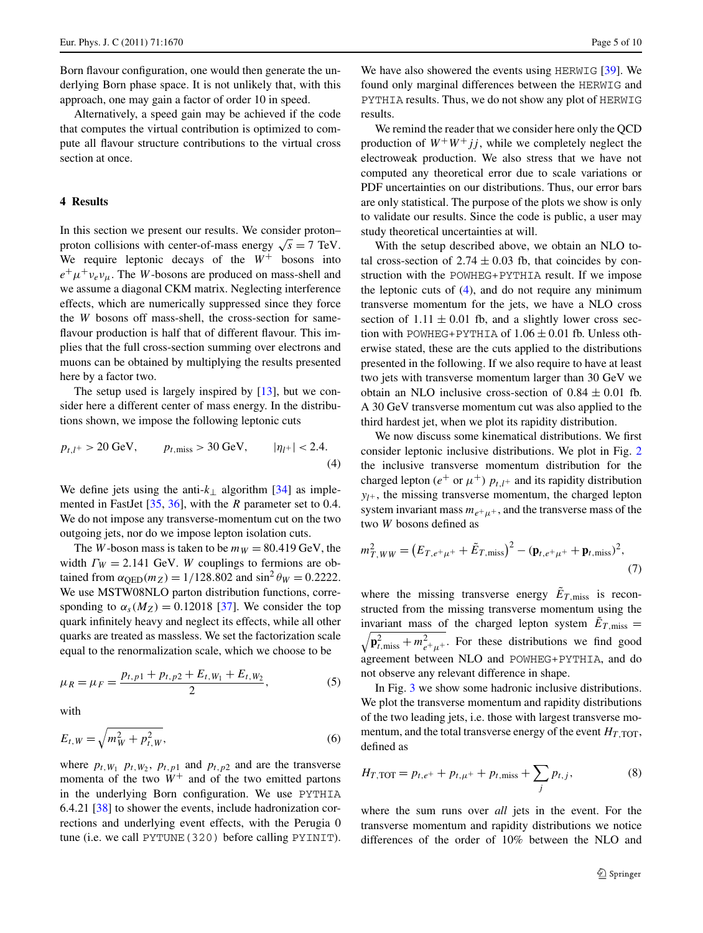Born flavour configuration, one would then generate the underlying Born phase space. It is not unlikely that, with this approach, one may gain a factor of order 10 in speed.

<span id="page-4-0"></span>Alternatively, a speed gain may be achieved if the code that computes the virtual contribution is optimized to compute all flavour structure contributions to the virtual cross section at once.

#### **4 Results**

In this section we present our results. We consider proton– proton collisions with center-of-mass energy  $\sqrt{s} = 7$  TeV. We require leptonic decays of the  $W^+$  bosons into  $e^+ \mu^+ \nu_e \nu_\mu$ . The *W*-bosons are produced on mass-shell and we assume a diagonal CKM matrix. Neglecting interference effects, which are numerically suppressed since they force the *W* bosons off mass-shell, the cross-section for sameflavour production is half that of different flavour. This implies that the full cross-section summing over electrons and muons can be obtained by multiplying the results presented here by a factor two.

<span id="page-4-1"></span>The setup used is largely inspired by  $[13]$  $[13]$ , but we consider here a different center of mass energy. In the distributions shown, we impose the following leptonic cuts

$$
p_{t,l^{+}} > 20 \text{ GeV}, \qquad p_{t,\text{miss}} > 30 \text{ GeV}, \qquad |\eta_{l^{+}}| < 2.4.
$$
 (4)

We define jets using the anti-*k*⊥ algorithm [[34\]](#page-9-20) as implemented in FastJet [\[35](#page-9-21), [36](#page-9-22)], with the *R* parameter set to 0.4. We do not impose any transverse-momentum cut on the two outgoing jets, nor do we impose lepton isolation cuts.

The *W*-boson mass is taken to be  $m_W = 80.419$  GeV, the width  $\Gamma_W = 2.141$  GeV. *W* couplings to fermions are obtained from  $\alpha_{\text{QED}}(m_Z) = 1/128.802$  and  $\sin^2 \theta_W = 0.2222$ . We use MSTW08NLO parton distribution functions, corresponding to  $\alpha_s(M_Z) = 0.12018$  [\[37](#page-9-23)]. We consider the top quark infinitely heavy and neglect its effects, while all other quarks are treated as massless. We set the factorization scale equal to the renormalization scale, which we choose to be

$$
\mu_R = \mu_F = \frac{p_{t,p1} + p_{t,p2} + E_{t,W_1} + E_{t,W_2}}{2},\tag{5}
$$

with

$$
E_{t,W} = \sqrt{m_W^2 + p_{t,W}^2},\tag{6}
$$

where  $p_{t, W_1}$   $p_{t, W_2}$ ,  $p_{t, p1}$  and  $p_{t, p2}$  and are the transverse momenta of the two  $W^+$  and of the two emitted partons in the underlying Born configuration. We use PYTHIA 6.4.21 [[38\]](#page-9-24) to shower the events, include hadronization corrections and underlying event effects, with the Perugia 0 tune (i.e. we call PYTUNE(320) before calling PYINIT). We have also showered the events using HERWIG [\[39](#page-9-25)]. We found only marginal differences between the HERWIG and PYTHIA results. Thus, we do not show any plot of HERWIG results.

We remind the reader that we consider here only the QCD production of  $W^+W^+jj$ , while we completely neglect the electroweak production. We also stress that we have not computed any theoretical error due to scale variations or PDF uncertainties on our distributions. Thus, our error bars are only statistical. The purpose of the plots we show is only to validate our results. Since the code is public, a user may study theoretical uncertainties at will.

With the setup described above, we obtain an NLO total cross-section of  $2.74 \pm 0.03$  fb, that coincides by construction with the POWHEG+PYTHIA result. If we impose the leptonic cuts of ([4\)](#page-4-1), and do not require any minimum transverse momentum for the jets, we have a NLO cross section of  $1.11 \pm 0.01$  fb, and a slightly lower cross section with POWHEG+PYTHIA of 1*.*06 ± 0*.*01 fb. Unless otherwise stated, these are the cuts applied to the distributions presented in the following. If we also require to have at least two jets with transverse momentum larger than 30 GeV we obtain an NLO inclusive cross-section of  $0.84 \pm 0.01$  fb. A 30 GeV transverse momentum cut was also applied to the third hardest jet, when we plot its rapidity distribution.

We now discuss some kinematical distributions. We first consider leptonic inclusive distributions. We plot in Fig. [2](#page-5-0) the inclusive transverse momentum distribution for the charged lepton ( $e^+$  or  $\mu^+$ )  $p_{t,l^+}$  and its rapidity distribution  $y_{l+}$ , the missing transverse momentum, the charged lepton system invariant mass  $m_{e^+ \mu^+}$ , and the transverse mass of the two *W* bosons defined as

$$
m_{T,WW}^2 = (E_{T,e^+\mu^+} + \tilde{E}_{T,\text{miss}})^2 - (\mathbf{p}_{t,e^+\mu^+} + \mathbf{p}_{t,\text{miss}})^2,
$$
\n(7)

where the missing transverse energy  $E_{T,\text{miss}}$  is reconstructed from the missing transverse momentum using the invariant mass of the charged lepton system  $E_{T,\text{miss}} =$  $\sqrt{\mathbf{p}_{t,\text{miss}}^2 + m_{e^+\mu^+}^2}$ . For these distributions we find good agreement between NLO and POWHEG+PYTHIA, and do not observe any relevant difference in shape.

In Fig. [3](#page-6-0) we show some hadronic inclusive distributions. We plot the transverse momentum and rapidity distributions of the two leading jets, i.e. those with largest transverse momentum, and the total transverse energy of the event  $H_{T, \text{TOT}}$ , defined as

$$
H_{T, \text{TOT}} = p_{t, e^+} + p_{t, \mu^+} + p_{t, \text{miss}} + \sum_j p_{t, j}, \tag{8}
$$

where the sum runs over *all* jets in the event. For the transverse momentum and rapidity distributions we notice differences of the order of 10% between the NLO and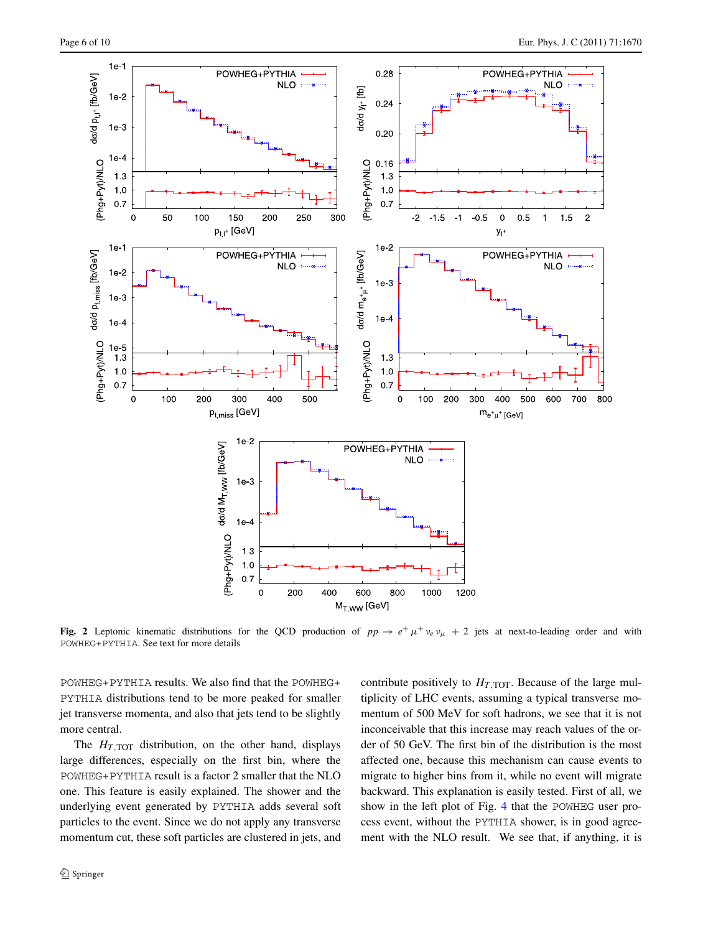

<span id="page-5-0"></span>**Fig. 2** Leptonic kinematic distributions for the QCD production of  $pp \rightarrow e^+ \mu^+ \nu_e \nu_\mu + 2$  jets at next-to-leading order and with POWHEG+PYTHIA. See text for more details

POWHEG+PYTHIA results. We also find that the POWHEG+ PYTHIA distributions tend to be more peaked for smaller jet transverse momenta, and also that jets tend to be slightly more central.

The  $H_{T, \text{TOT}}$  distribution, on the other hand, displays large differences, especially on the first bin, where the POWHEG+PYTHIA result is a factor 2 smaller that the NLO one. This feature is easily explained. The shower and the underlying event generated by PYTHIA adds several soft particles to the event. Since we do not apply any transverse momentum cut, these soft particles are clustered in jets, and contribute positively to  $H_{T, \text{TOT}}$ . Because of the large multiplicity of LHC events, assuming a typical transverse momentum of 500 MeV for soft hadrons, we see that it is not inconceivable that this increase may reach values of the order of 50 GeV. The first bin of the distribution is the most affected one, because this mechanism can cause events to migrate to higher bins from it, while no event will migrate backward. This explanation is easily tested. First of all, we show in the left plot of Fig. [4](#page-7-1) that the POWHEG user process event, without the PYTHIA shower, is in good agreement with the NLO result. We see that, if anything, it is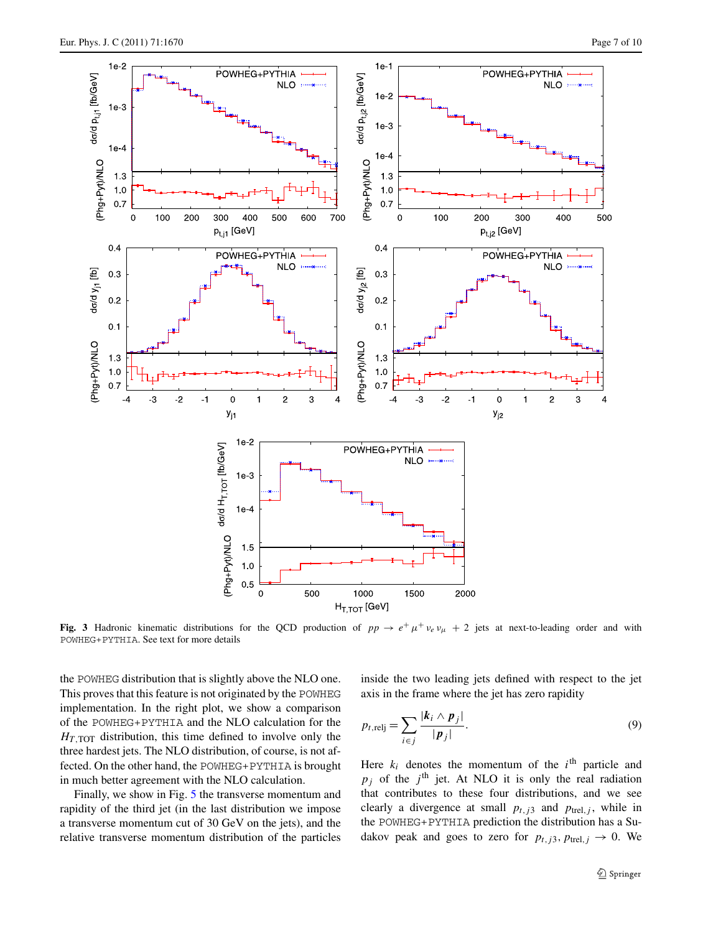

<span id="page-6-0"></span>**Fig. 3** Hadronic kinematic distributions for the QCD production of  $pp \rightarrow e^+ \mu^+ \nu_e \nu_\mu + 2$  jets at next-to-leading order and with POWHEG+PYTHIA. See text for more details

the POWHEG distribution that is slightly above the NLO one. This proves that this feature is not originated by the POWHEG implementation. In the right plot, we show a comparison of the POWHEG+PYTHIA and the NLO calculation for the  $H_{T, \text{TOT}}$  distribution, this time defined to involve only the three hardest jets. The NLO distribution, of course, is not affected. On the other hand, the POWHEG+PYTHIA is brought in much better agreement with the NLO calculation.

Finally, we show in Fig. [5](#page-7-2) the transverse momentum and rapidity of the third jet (in the last distribution we impose a transverse momentum cut of 30 GeV on the jets), and the relative transverse momentum distribution of the particles inside the two leading jets defined with respect to the jet axis in the frame where the jet has zero rapidity

$$
p_{t,\text{relj}} = \sum_{i \in j} \frac{|\mathbf{k}_i \wedge \mathbf{p}_j|}{|\mathbf{p}_j|}.
$$
 (9)

Here  $k_i$  denotes the momentum of the  $i<sup>th</sup>$  particle and  $p_i$  of the  $j^{\text{th}}$  jet. At NLO it is only the real radiation that contributes to these four distributions, and we see clearly a divergence at small  $p_{t,j3}$  and  $p_{\text{trel},j}$ , while in the POWHEG+PYTHIA prediction the distribution has a Sudakov peak and goes to zero for  $p_{t,j3}$ ,  $p_{\text{trel},j} \rightarrow 0$ . We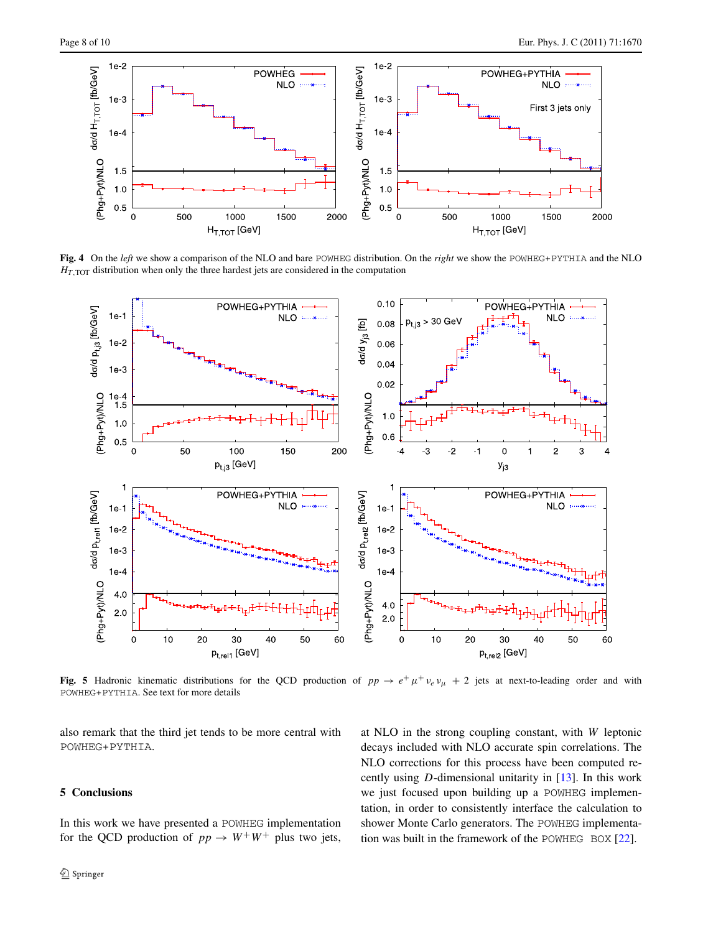

<span id="page-7-1"></span>**Fig. 4** On the *left* we show a comparison of the NLO and bare POWHEG distribution. On the *right* we show the POWHEG+PYTHIA and the NLO  $H_{T, TOT}$  distribution when only the three hardest jets are considered in the computation



<span id="page-7-2"></span><span id="page-7-0"></span>**Fig. 5** Hadronic kinematic distributions for the QCD production of  $pp \rightarrow e^+ \mu^+ \nu_e \nu_\mu + 2$  jets at next-to-leading order and with POWHEG+PYTHIA. See text for more details

also remark that the third jet tends to be more central with POWHEG+PYTHIA.

## **5 Conclusions**

In this work we have presented a POWHEG implementation for the QCD production of  $pp \rightarrow W^+W^+$  plus two jets,

at NLO in the strong coupling constant, with *W* leptonic decays included with NLO accurate spin correlations. The NLO corrections for this process have been computed recently using *D*-dimensional unitarity in [[13\]](#page-9-8). In this work we just focused upon building up a POWHEG implementation, in order to consistently interface the calculation to shower Monte Carlo generators. The POWHEG implementation was built in the framework of the POWHEG BOX [\[22](#page-9-5)].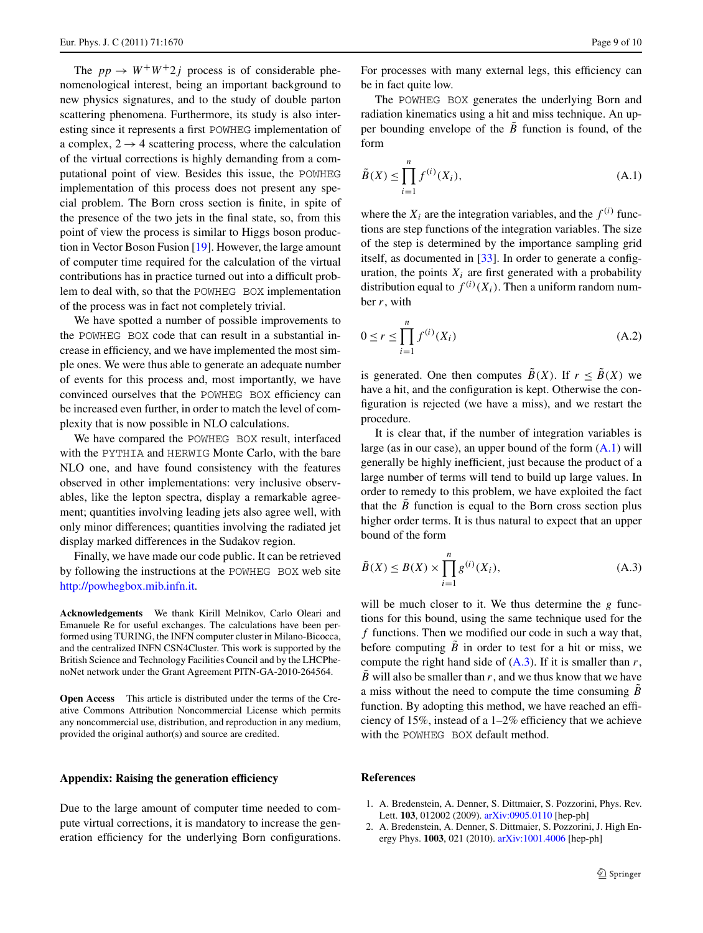The  $pp \rightarrow W^{+}W^{+}2j$  process is of considerable phenomenological interest, being an important background to new physics signatures, and to the study of double parton scattering phenomena. Furthermore, its study is also interesting since it represents a first POWHEG implementation of a complex,  $2 \rightarrow 4$  scattering process, where the calculation of the virtual corrections is highly demanding from a computational point of view. Besides this issue, the POWHEG implementation of this process does not present any special problem. The Born cross section is finite, in spite of the presence of the two jets in the final state, so, from this point of view the process is similar to Higgs boson production in Vector Boson Fusion [[19\]](#page-9-6). However, the large amount of computer time required for the calculation of the virtual contributions has in practice turned out into a difficult problem to deal with, so that the POWHEG BOX implementation of the process was in fact not completely trivial.

We have spotted a number of possible improvements to the POWHEG BOX code that can result in a substantial increase in efficiency, and we have implemented the most simple ones. We were thus able to generate an adequate number of events for this process and, most importantly, we have convinced ourselves that the POWHEG BOX efficiency can be increased even further, in order to match the level of complexity that is now possible in NLO calculations.

We have compared the POWHEG BOX result, interfaced with the PYTHIA and HERWIG Monte Carlo, with the bare NLO one, and have found consistency with the features observed in other implementations: very inclusive observables, like the lepton spectra, display a remarkable agreement; quantities involving leading jets also agree well, with only minor differences; quantities involving the radiated jet display marked differences in the Sudakov region.

Finally, we have made our code public. It can be retrieved by following the instructions at the POWHEG BOX web site [http://powhegbox.mib.infn.it.](http://powhegbox.mib.infn.it)

**Acknowledgements** We thank Kirill Melnikov, Carlo Oleari and Emanuele Re for useful exchanges. The calculations have been performed using TURING, the INFN computer cluster in Milano-Bicocca, and the centralized INFN CSN4Cluster. This work is supported by the British Science and Technology Facilities Council and by the LHCPhenoNet network under the Grant Agreement PITN-GA-2010-264564.

<span id="page-8-1"></span>**Open Access** This article is distributed under the terms of the Creative Commons Attribution Noncommercial License which permits any noncommercial use, distribution, and reproduction in any medium, provided the original author(s) and source are credited.

#### **Appendix: Raising the generation efficiency**

Due to the large amount of computer time needed to compute virtual corrections, it is mandatory to increase the generation efficiency for the underlying Born configurations. <span id="page-8-2"></span>For processes with many external legs, this efficiency can be in fact quite low.

The POWHEG BOX generates the underlying Born and radiation kinematics using a hit and miss technique. An upper bounding envelope of the  $\overline{B}$  function is found, of the form

$$
\tilde{B}(X) \le \prod_{i=1}^{n} f^{(i)}(X_i),
$$
\n(A.1)

where the  $X_i$  are the integration variables, and the  $f^{(i)}$  functions are step functions of the integration variables. The size of the step is determined by the importance sampling grid itself, as documented in [[33\]](#page-9-19). In order to generate a configuration, the points  $X_i$  are first generated with a probability distribution equal to  $f^{(i)}(X_i)$ . Then a uniform random number *r*, with

$$
0 \le r \le \prod_{i=1}^{n} f^{(i)}(X_i)
$$
 (A.2)

is generated. One then computes  $\tilde{B}(X)$ . If  $r \leq \tilde{B}(X)$  we have a hit, and the configuration is kept. Otherwise the configuration is rejected (we have a miss), and we restart the procedure.

<span id="page-8-3"></span>It is clear that, if the number of integration variables is large (as in our case), an upper bound of the form  $(A,1)$  will generally be highly inefficient, just because the product of a large number of terms will tend to build up large values. In order to remedy to this problem, we have exploited the fact that the  $\overline{B}$  function is equal to the Born cross section plus higher order terms. It is thus natural to expect that an upper bound of the form

$$
\tilde{B}(X) \le B(X) \times \prod_{i=1}^{n} g^{(i)}(X_i),\tag{A.3}
$$

will be much closer to it. We thus determine the *g* functions for this bound, using the same technique used for the *f* functions. Then we modified our code in such a way that, before computing  $\hat{B}$  in order to test for a hit or miss, we compute the right hand side of ([A.3](#page-8-3)). If it is smaller than *r*,  $\overline{B}$  will also be smaller than  $r$ , and we thus know that we have a miss without the need to compute the time consuming *B*˜ function. By adopting this method, we have reached an efficiency of 15%, instead of a 1–2% efficiency that we achieve with the POWHEG BOX default method.

#### <span id="page-8-0"></span>**References**

- 1. A. Bredenstein, A. Denner, S. Dittmaier, S. Pozzorini, Phys. Rev. Lett. **103**, 012002 (2009). [arXiv:0905.0110](http://arxiv.org/abs/arXiv:0905.0110) [hep-ph]
- 2. A. Bredenstein, A. Denner, S. Dittmaier, S. Pozzorini, J. High Energy Phys. **1003**, 021 (2010). [arXiv:1001.4006](http://arxiv.org/abs/arXiv:1001.4006) [hep-ph]